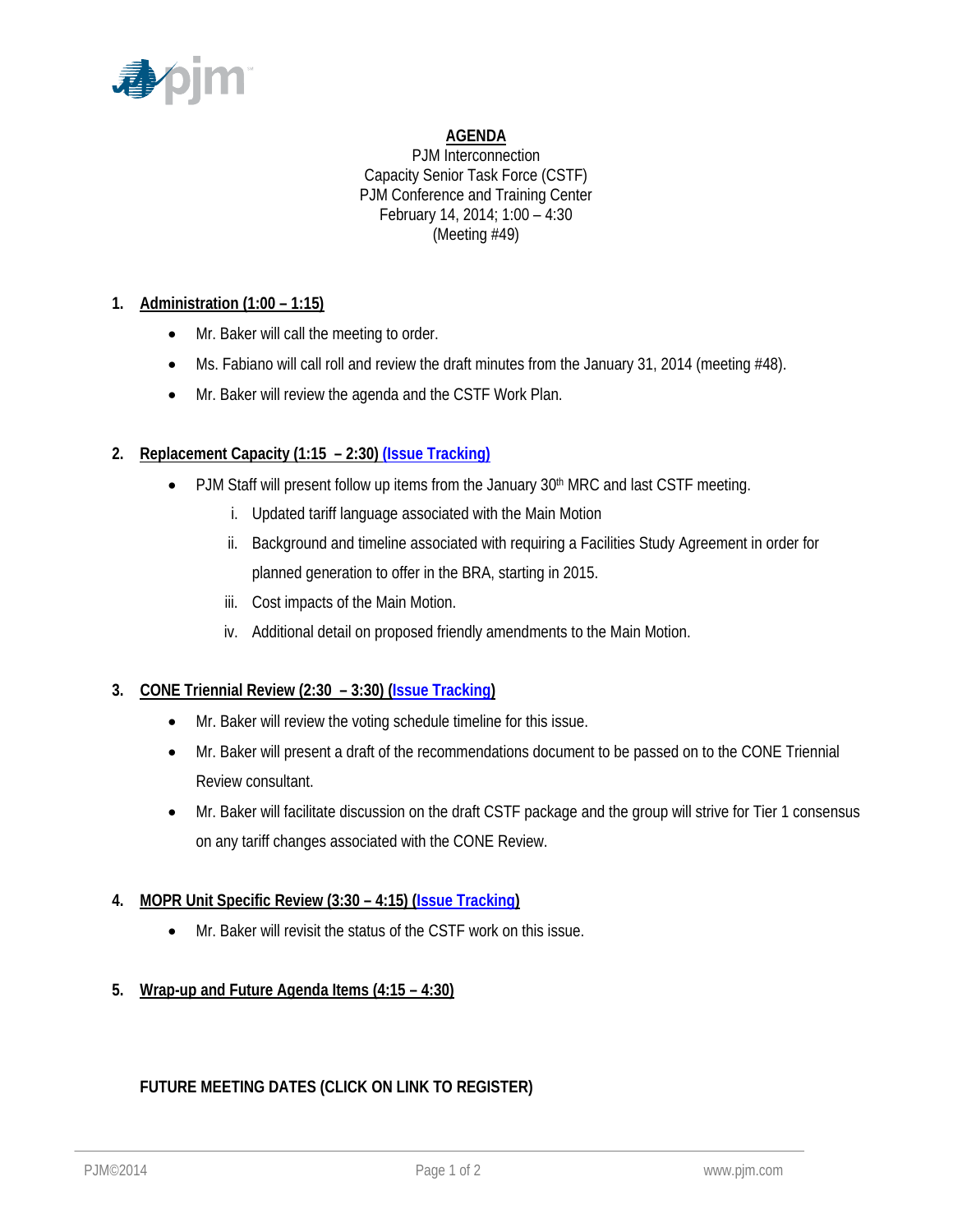

## **AGENDA**

PJM Interconnection Capacity Senior Task Force (CSTF) PJM Conference and Training Center February 14, 2014; 1:00 – 4:30 (Meeting #49)

## **1. Administration (1:00 – 1:15)**

- Mr. Baker will call the meeting to order.
- Ms. Fabiano will call roll and review the draft minutes from the January 31, 2014 (meeting #48).
- Mr. Baker will review the agenda and the CSTF Work Plan.

# **2. Replacement Capacity (1:15 – 2:30) (Issue Tracking)**

- PJM Staff will present follow up items from the January 30<sup>th</sup> MRC and last CSTF meeting.
	- i. Updated tariff language associated with the Main Motion
	- ii. Background and timeline associated with requiring a Facilities Study Agreement in order for planned generation to offer in the BRA, starting in 2015.
	- iii. Cost impacts of the Main Motion.
	- iv. Additional detail on proposed friendly amendments to the Main Motion.

## **3. CONE Triennial Review (2:30 – 3:30) (Issue Tracking)**

- Mr. Baker will review the voting schedule timeline for this issue.
- Mr. Baker will present a draft of the recommendations document to be passed on to the CONE Triennial Review consultant.
- Mr. Baker will facilitate discussion on the draft CSTF package and the group will strive for Tier 1 consensus on any tariff changes associated with the CONE Review.

## **4. MOPR Unit Specific Review (3:30 – 4:15) (Issue Tracking)**

- Mr. Baker will revisit the status of the CSTF work on this issue.
- **5. Wrap-up and Future Agenda Items (4:15 4:30)**

# **FUTURE MEETING DATES (CLICK ON LINK TO REGISTER)**